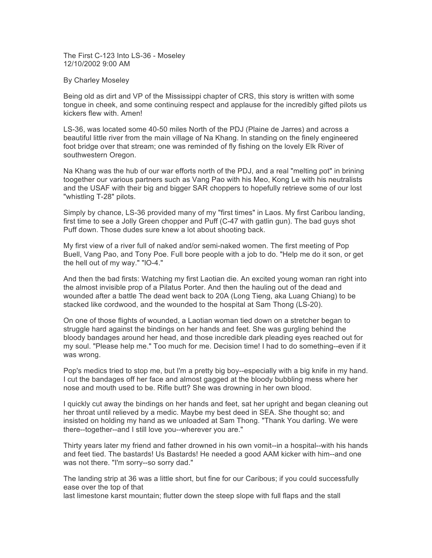The First C-123 Into LS-36 - Moseley 12/10/2002 9:00 AM

## By Charley Moseley

Being old as dirt and VP of the Mississippi chapter of CRS, this story is written with some tongue in cheek, and some continuing respect and applause for the incredibly gifted pilots us kickers flew with. Amen!

LS-36, was located some 40-50 miles North of the PDJ (Plaine de Jarres) and across a beautiful little river from the main village of Na Khang. In standing on the finely engineered foot bridge over that stream; one was reminded of fly fishing on the lovely Elk River of southwestern Oregon.

Na Khang was the hub of our war efforts north of the PDJ, and a real "melting pot" in brining toogether our various partners such as Vang Pao with his Meo, Kong Le with his neutralists and the USAF with their big and bigger SAR choppers to hopefully retrieve some of our lost "whistling T-28" pilots.

Simply by chance, LS-36 provided many of my "first times" in Laos. My first Caribou landing, first time to see a Jolly Green chopper and Puff (C-47 with gatlin gun). The bad guys shot Puff down. Those dudes sure knew a lot about shooting back.

My first view of a river full of naked and/or semi-naked women. The first meeting of Pop Buell, Vang Pao, and Tony Poe. Full bore people with a job to do. "Help me do it son, or get the hell out of my way." "lO-4."

And then the bad firsts: Watching my first Laotian die. An excited young woman ran right into the almost invisible prop of a Pilatus Porter. And then the hauling out of the dead and wounded after a battle The dead went back to 20A (Long Tieng, aka Luang Chiang) to be stacked like cordwood, and the wounded to the hospital at Sam Thong (LS-20).

On one of those flights of wounded, a Laotian woman tied down on a stretcher began to struggle hard against the bindings on her hands and feet. She was gurgling behind the bloody bandages around her head, and those incredible dark pleading eyes reached out for my soul. "Please help me." Too much for me. Decision time! I had to do something--even if it was wrong.

Pop's medics tried to stop me, but I'm a pretty big boy--especially with a big knife in my hand. I cut the bandages off her face and almost gagged at the bloody bubbling mess where her nose and mouth used to be. Rifle butt? She was drowning in her own blood.

I quickly cut away the bindings on her hands and feet, sat her upright and began cleaning out her throat until relieved by a medic. Maybe my best deed in SEA. She thought so; and insisted on holding my hand as we unloaded at Sam Thong. "Thank You darling. We were there--together--and I still love you--wherever you are."

Thirty years later my friend and father drowned in his own vomit--in a hospital--with his hands and feet tied. The bastards! Us Bastards! He needed a good AAM kicker with him--and one was not there. "I'm sorry--so sorry dad."

The landing strip at 36 was a little short, but fine for our Caribous; if you could successfully ease over the top of that

last limestone karst mountain; flutter down the steep slope with full flaps and the stall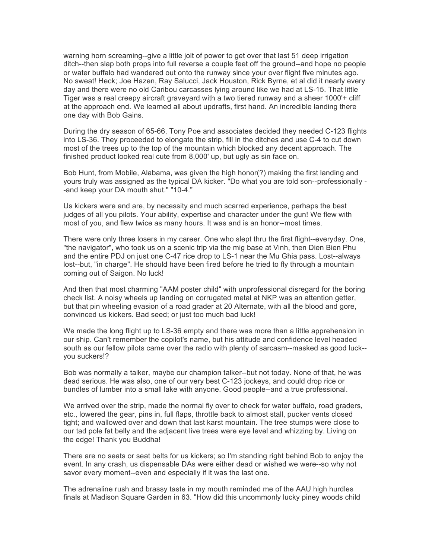warning horn screaming--give a little jolt of power to get over that last 51 deep irrigation ditch--then slap both props into full reverse a couple feet off the ground--and hope no people or water buffalo had wandered out onto the runway since your over flight five minutes ago. No sweat! Heck; Joe Hazen, Ray Salucci, Jack Houston, Rick Byrne, et al did it nearly every day and there were no old Caribou carcasses lying around like we had at LS-15. That little Tiger was a real creepy aircraft graveyard with a two tiered runway and a sheer 1000'+ cliff at the approach end. We learned all about updrafts, first hand. An incredible landing there one day with Bob Gains.

During the dry season of 65-66, Tony Poe and associates decided they needed C-123 flights into LS-36. They proceeded to elongate the strip, fill in the ditches and use C-4 to cut down most of the trees up to the top of the mountain which blocked any decent approach. The finished product looked real cute from 8,000' up, but ugly as sin face on.

Bob Hunt, from Mobile, Alabama, was given the high honor(?) making the first landing and yours truly was assigned as the typical DA kicker. "Do what you are told son--professionally - -and keep your DA mouth shut." "10-4."

Us kickers were and are, by necessity and much scarred experience, perhaps the best judges of all you pilots. Your ability, expertise and character under the gun! We flew with most of you, and flew twice as many hours. It was and is an honor--most times.

There were only three losers in my career. One who slept thru the first flight--everyday. One, "the navigator", who took us on a scenic trip via the mig base at Vinh, then Dien Bien Phu and the entire PDJ on just one C-47 rice drop to LS-1 near the Mu Ghia pass. Lost--always lost--but, "in charge". He should have been fired before he tried to fly through a mountain coming out of Saigon. No luck!

And then that most charming "AAM poster child" with unprofessional disregard for the boring check list. A noisy wheels up landing on corrugated metal at NKP was an attention getter, but that pin wheeling evasion of a road grader at 20 Alternate, with all the blood and gore, convinced us kickers. Bad seed; or just too much bad luck!

We made the long flight up to LS-36 empty and there was more than a little apprehension in our ship. Can't remember the copilot's name, but his attitude and confidence level headed south as our fellow pilots came over the radio with plenty of sarcasm--masked as good luck- you suckers!?

Bob was normally a talker, maybe our champion talker--but not today. None of that, he was dead serious. He was also, one of our very best C-123 jockeys, and could drop rice or bundles of lumber into a small lake with anyone. Good people--and a true professional.

We arrived over the strip, made the normal fly over to check for water buffalo, road graders, etc., lowered the gear, pins in, full flaps, throttle back to almost stall, pucker vents closed tight; and wallowed over and down that last karst mountain. The tree stumps were close to our tad pole fat belly and the adjacent live trees were eye level and whizzing by. Living on the edge! Thank you Buddha!

There are no seats or seat belts for us kickers; so I'm standing right behind Bob to enjoy the event. In any crash, us dispensable DAs were either dead or wished we were--so why not savor every moment--even and especially if it was the last one.

The adrenaline rush and brassy taste in my mouth reminded me of the AAU high hurdles finals at Madison Square Garden in 63. "How did this uncommonly lucky piney woods child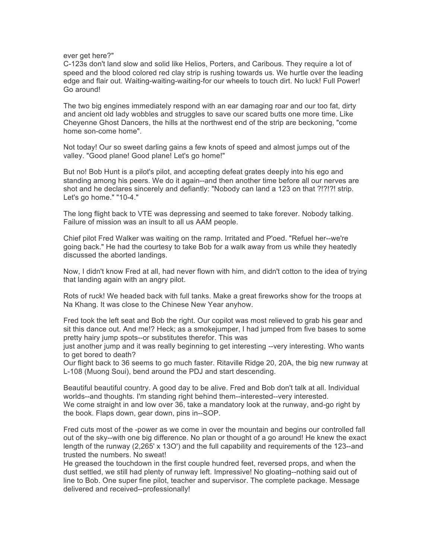ever get here?"

C-123s don't land slow and solid like Helios, Porters, and Caribous. They require a lot of speed and the blood colored red clay strip is rushing towards us. We hurtle over the leading edge and flair out. Waiting-waiting-waiting-for our wheels to touch dirt. No luck! Full Power! Go around!

The two big engines immediately respond with an ear damaging roar and our too fat, dirty and ancient old lady wobbles and struggles to save our scared butts one more time. Like Cheyenne Ghost Dancers, the hills at the northwest end of the strip are beckoning, "come home son-come home".

Not today! Our so sweet darling gains a few knots of speed and almost jumps out of the valley. "Good plane! Good plane! Let's go home!"

But no! Bob Hunt is a pilot's pilot, and accepting defeat grates deeply into his ego and standing among his peers. We do it again--and then another time before all our nerves are shot and he declares sincerely and defiantly: "Nobody can land a 123 on that ?!?!?! strip. Let's go home." "10-4."

The long flight back to VTE was depressing and seemed to take forever. Nobody talking. Failure of mission was an insult to all us AAM people.

Chief pilot Fred Walker was waiting on the ramp. Irritated and P'oed. "Refuel her--we're going back." He had the courtesy to take Bob for a walk away from us while they heatedly discussed the aborted landings.

Now, I didn't know Fred at all, had never flown with him, and didn't cotton to the idea of trying that landing again with an angry pilot.

Rots of ruck! We headed back with full tanks. Make a great fireworks show for the troops at Na Khang. It was close to the Chinese New Year anyhow.

Fred took the left seat and Bob the right. Our copilot was most relieved to grab his gear and sit this dance out. And me!? Heck; as a smokejumper, I had jumped from five bases to some pretty hairy jump spots--or substitutes therefor. This was

just another jump and it was really beginning to get interesting --very interesting. Who wants to get bored to death?

Our flight back to 36 seems to go much faster. Ritaville Ridge 20, 20A, the big new runway at L-108 (Muong Soui), bend around the PDJ and start descending.

Beautiful beautiful country. A good day to be alive. Fred and Bob don't talk at all. Individual worlds--and thoughts. I'm standing right behind them--interested--very interested. We come straight in and low over 36, take a mandatory look at the runway, and-go right by the book. Flaps down, gear down, pins in--SOP.

Fred cuts most of the -power as we come in over the mountain and begins our controlled fall out of the sky--with one big difference. No plan or thought of a go around! He knew the exact length of the runway (2,265' x 13O') and the full capability and requirements of the 123--and trusted the numbers. No sweat!

He greased the touchdown in the first couple hundred feet, reversed props, and when the dust settled, we still had plenty of runway left. Impressive! No gloating--nothing said out of line to Bob. One super fine pilot, teacher and supervisor. The complete package. Message delivered and received--professionally!